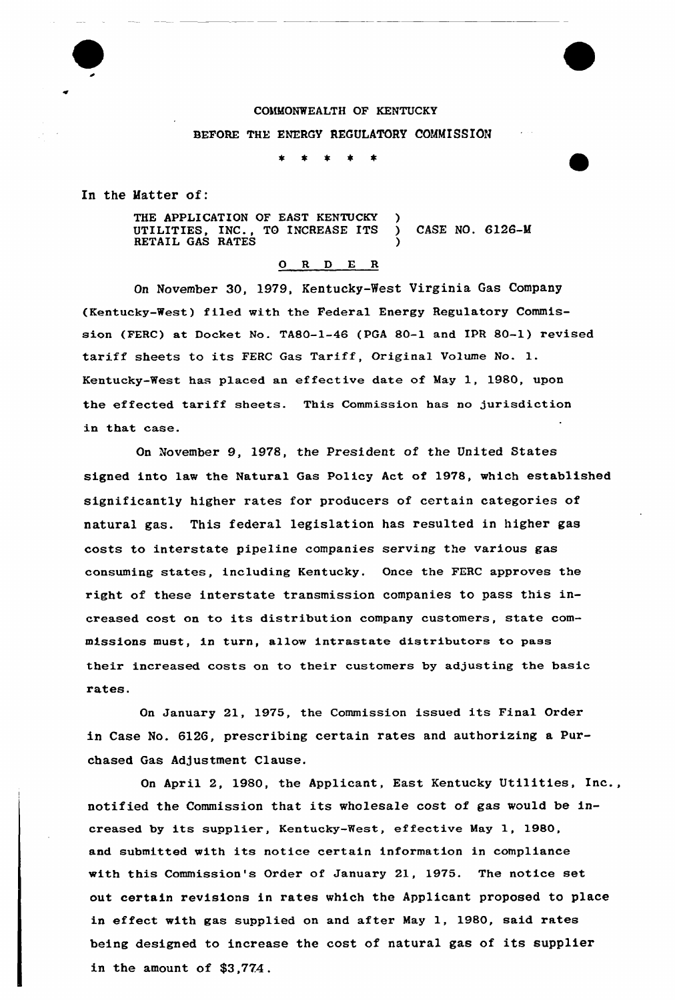# COMMONWEALTH OF KENTUCKY BEFORE THE ENERGY REGULATORY COMMISSION

 $\bullet$ 一束  $\star$ 

In the Matter of:

THE APPLICATION OF EAST KENTUCKY UTILITIES, INC., TO INCREASE ITS ) CASE NO. 6126-M RETAIL GAS RATES (1998)

#### 0 R <sup>D</sup> E R

On November 30, 1979, Kentucky-West Virginia Gas Company (Kentucky-West) filed with the Federal Energy Regulatory Commission (FERC) at Docket No. TABO-1-46 (PGA 80-1 and IPR 80-1) revised tariff sheets to its FERC Gas Tariff, Original Volume No. l. Kentucky-West has placed an effective date of May 1, 1980, upon the effected tariff sheets. This Commission has no jurisdiction in that case.

On November 9, 1978, the President of the United States signed into law the Natural Gas Policy Act of 1978, which established significantly higher rates for producers of certain categories of natural gas. This federal legislation has resulted in higher gas costs to interstate pipeline companies serving the various gas consuming states, including Kentucky. Once the FERC approves the right of these interstate transmission companies to pass this increased cost on to its distribution company customers, state commissions must, in turn, allow intrastate distributors to pass their increased costs on to their customers by adjusting the basic rates.

On January 21, 1975, the Commission issued its Final Order in Case No. 6126, prescribing certain rates and authorizing a Purchased Gas Adjustment Clause.

On April 2, 1980, the Applicant, East Kentucky Utilities, Inc., notified the Commission that its wholesale cost of gas would be increased by its supplier, Kentucky-West, effective May 1, 1980, and submitted with its notice certain information in compliance with this Commission's Order of January 21, 1975. The notice set out certain revisions in rates which the Applicant proposed to place in effect with gas supplied on and after May 1, 1980, said rates being designed to increase the cost of natural gas of its supplier in the amount of \$3,774.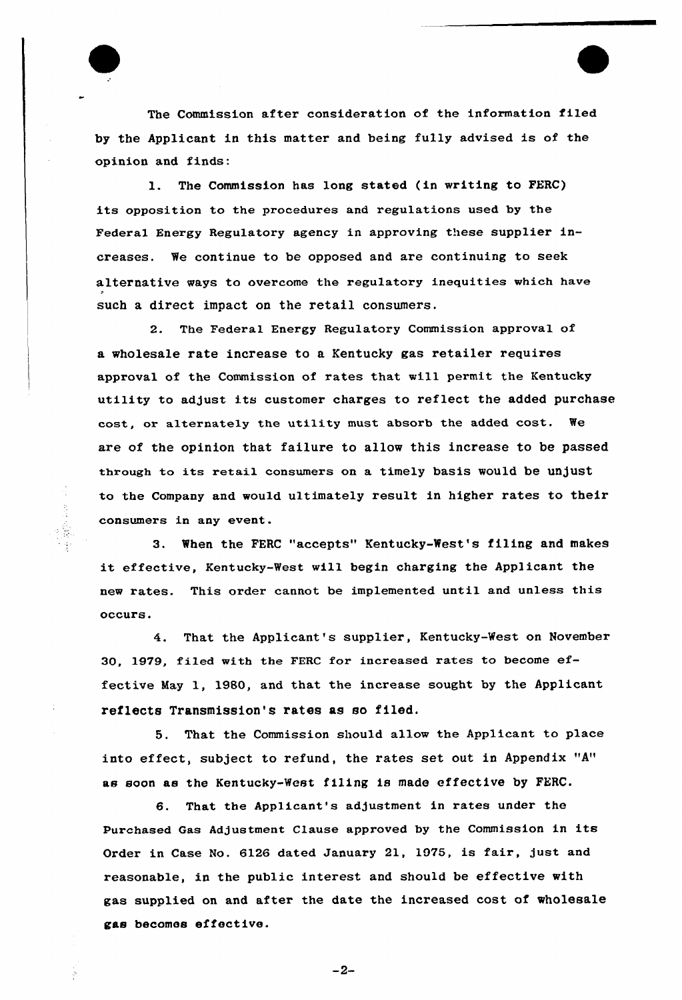

一、 我 不

The Commission after consideration of the 1nformation f1led by the Applicant in this matter and being fully advised is of the opinion and finds:

1. The Commission has long stated (in writing to FERC) its opposition to the procedures and regulations used by the Federal Energy Regulatory agency in approving these supplier increases. We continue to be opposed and are continuing to seek alternative ways to overcome the regulatory inequities which have such a direct impact on the retail consumers.

 $2.$ The Federal Energy Regulatory Commission approval of a wholesale rate increase to a Kentucky gas retailer requires approval of the Commission of rates that will permit the Kentucky utility to adjust its customer charges to reflect the added purchase cost, or alternately the utility must absorb the added cost. We are of the opinion that failure to allow this increase to be passed through to its retail consumers on a timely basis would be unjust to the Company and would ultimately result in higher rates to their consumers in any event.

3. When the FERC "accepts" Kentucky-West's filing and makes it effective, Kentucky-West will begin charging the Applicant the new rates. This order cannot be implemented until and unless this occurs.

4. That the Applicant's supplier, Kentucky-West on November 30, 1979, filed with the FERC for increased rates to become effective May 1, 1980, and that the increase sought by the Applicant reflects Transmission's rates as so filed,

5. That the Commission should allow the Applicant to place into effect, subject to refund, the rates set out in Appendix "A" as soon as the Kentucky-West filing is made effective by FERC.

6. That the Applicant's adjustment in rates under the Purchased Gas Adjustment Clause approved by the Commiss1on in its Order in Case No. 6126 dated January 21, 1975, is fair, just and reasonable, in the public interest and should be effective with gas supplied on and after the date the increased cost of wholesale gas becomes effective.

 $-2-$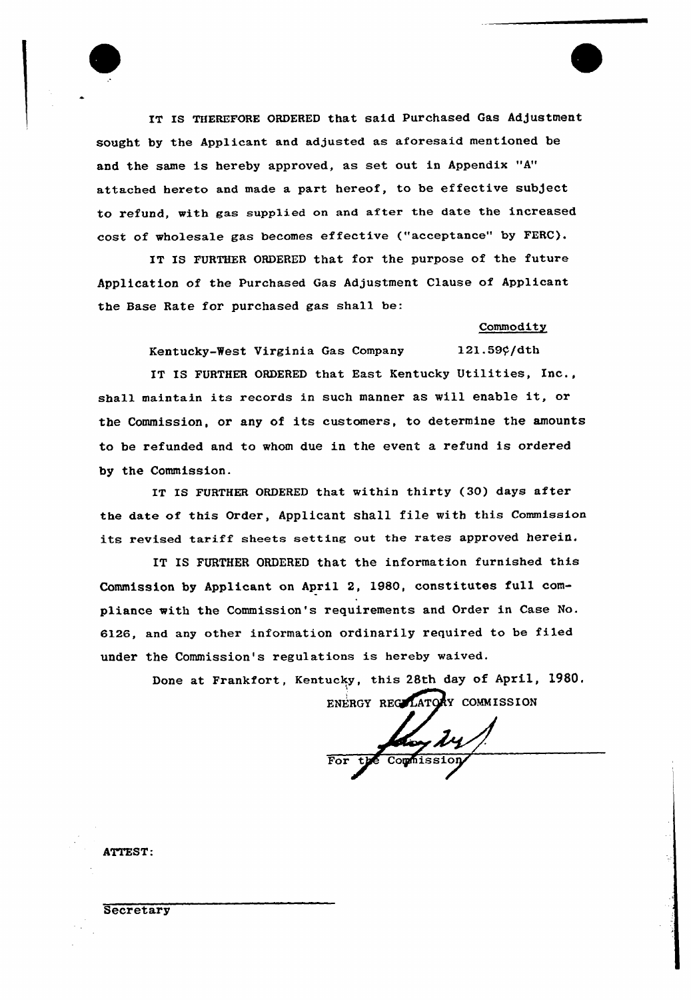

IT IS THEREFORE ORDERED that said Purchased Gas Adjustment sought by the Applicant and adjusted as aforesaid mentioned be and the same is hereby approved, as set out in Appendix "A" attached hereto and made a part hereof, to be effective subject to refund, with gas supplied on and after the date the increased cost of wholesale gas becomes effective ("acceptance" by FERC).

IT IS FURTHER ORDERED that for the purpose of the future Application of the Purchased Gas Adjustment Clause of Applicant the Base Rate for purchased gas shall be:

#### **Commodity**

Kentucky-West Virginia Gas Company 121.59¢/dth

IT IS FURTHER ORDERED that East Kentucky Utilities, Inc., shall maintain its records in such manner as will enable it, or the Commission, or any of its customers, to determine the amounts to be refunded and to whom due in the event a refund is ordered by the Commission.

IT IS FURTHER ORDERED that within thirty (30) days after the date of this Order, Applicant shall file with this Commission its revised tariff sheets setting out the rates approved herein.

IT IS FURTHER ORDERED that the information furnished this Commission by Applicant on April 2, 1980, constitutes full compliance with the Commission's requirements and Order in Case No. 6126, and any other information ordinarily required to be filed under the Commission's regulations is hereby waived.

> Done at Frankfort, Kentucky, this 28th day of April, 1980. ENERGY REGILATORY COMMISSION

Koy 14

ATTEST:

### **Secretary**